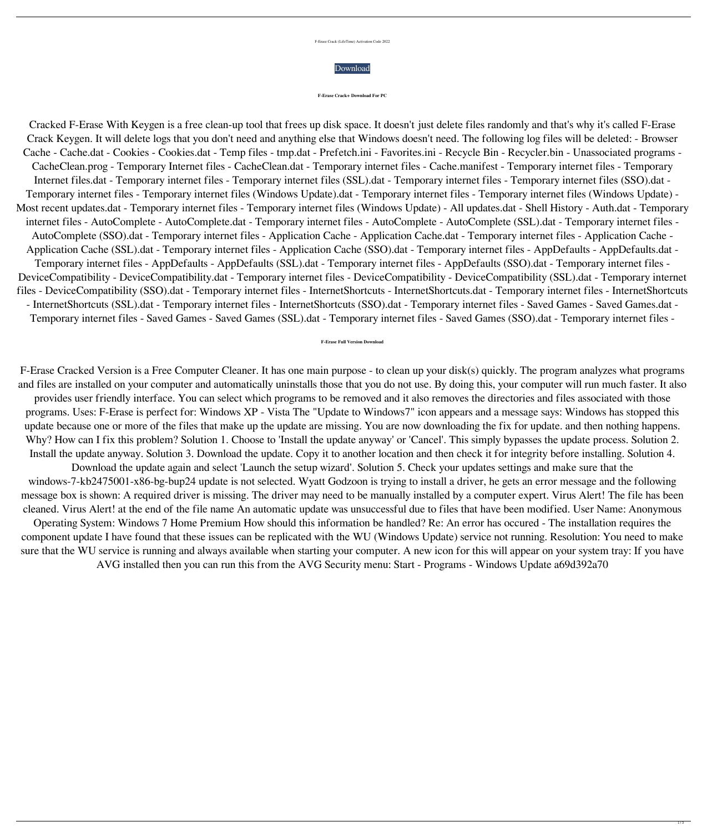|  |  | F-Erase Crack (LifeTime) Activation Code 2022 |
|--|--|-----------------------------------------------|
|  |  |                                               |



## **F-Erase Crack+ Download For PC**

Cracked F-Erase With Keygen is a free clean-up tool that frees up disk space. It doesn't just delete files randomly and that's why it's called F-Erase Crack Keygen. It will delete logs that you don't need and anything else that Windows doesn't need. The following log files will be deleted: - Browser Cache - Cache.dat - Cookies - Cookies.dat - Temp files - tmp.dat - Prefetch.ini - Favorites.ini - Recycle Bin - Recycler.bin - Unassociated programs - CacheClean.prog - Temporary Internet files - CacheClean.dat - Temporary internet files - Cache.manifest - Temporary internet files - Temporary Internet files.dat - Temporary internet files - Temporary internet files (SSL).dat - Temporary internet files - Temporary internet files (SSO).dat - Temporary internet files - Temporary internet files (Windows Update).dat - Temporary internet files - Temporary internet files (Windows Update) - Most recent updates.dat - Temporary internet files - Temporary internet files (Windows Update) - All updates.dat - Shell History - Auth.dat - Temporary internet files - AutoComplete - AutoComplete.dat - Temporary internet files - AutoComplete - AutoComplete (SSL).dat - Temporary internet files - AutoComplete (SSO).dat - Temporary internet files - Application Cache - Application Cache.dat - Temporary internet files - Application Cache - Application Cache (SSL).dat - Temporary internet files - Application Cache (SSO).dat - Temporary internet files - AppDefaults - AppDefaults.dat - Temporary internet files - AppDefaults - AppDefaults (SSL).dat - Temporary internet files - AppDefaults (SSO).dat - Temporary internet files - DeviceCompatibility - DeviceCompatibility.dat - Temporary internet files - DeviceCompatibility - DeviceCompatibility (SSL).dat - Temporary internet files - DeviceCompatibility (SSO).dat - Temporary internet files - InternetShortcuts - InternetShortcuts.dat - Temporary internet files - InternetShortcuts - InternetShortcuts (SSL).dat - Temporary internet files - InternetShortcuts (SSO).dat - Temporary internet files - Saved Games - Saved Games.dat - Temporary internet files - Saved Games - Saved Games (SSL).dat - Temporary internet files - Saved Games (SSO).dat - Temporary internet files -

F-Erase Cracked Version is a Free Computer Cleaner. It has one main purpose - to clean up your disk(s) quickly. The program analyzes what programs and files are installed on your computer and automatically uninstalls those that you do not use. By doing this, your computer will run much faster. It also

provides user friendly interface. You can select which programs to be removed and it also removes the directories and files associated with those programs. Uses: F-Erase is perfect for: Windows XP - Vista The "Update to Windows7" icon appears and a message says: Windows has stopped this update because one or more of the files that make up the update are missing. You are now downloading the fix for update. and then nothing happens. Why? How can I fix this problem? Solution 1. Choose to 'Install the update anyway' or 'Cancel'. This simply bypasses the update process. Solution 2. Install the update anyway. Solution 3. Download the update. Copy it to another location and then check it for integrity before installing. Solution 4.

Download the update again and select 'Launch the setup wizard'. Solution 5. Check your updates settings and make sure that the windows-7-kb2475001-x86-bg-bup24 update is not selected. Wyatt Godzoon is trying to install a driver, he gets an error message and the following message box is shown: A required driver is missing. The driver may need to be manually installed by a computer expert. Virus Alert! The file has been cleaned. Virus Alert! at the end of the file name An automatic update was unsuccessful due to files that have been modified. User Name: Anonymous Operating System: Windows 7 Home Premium How should this information be handled? Re: An error has occured - The installation requires the component update I have found that these issues can be replicated with the WU (Windows Update) service not running. Resolution: You need to make sure that the WU service is running and always available when starting your computer. A new icon for this will appear on your system tray: If you have

AVG installed then you can run this from the AVG Security menu: Start - Programs - Windows Update a69d392a70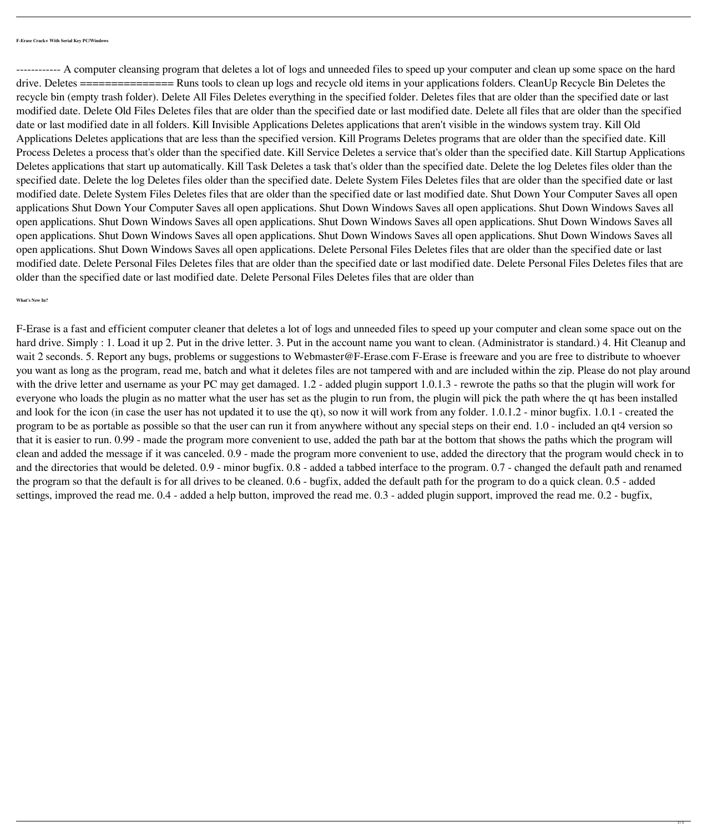**F-Erase Crack+ With Serial Key PC/Windows**

------------ A computer cleansing program that deletes a lot of logs and unneeded files to speed up your computer and clean up some space on the hard drive. Deletes =============== Runs tools to clean up logs and recycle old items in your applications folders. CleanUp Recycle Bin Deletes the recycle bin (empty trash folder). Delete All Files Deletes everything in the specified folder. Deletes files that are older than the specified date or last modified date. Delete Old Files Deletes files that are older than the specified date or last modified date. Delete all files that are older than the specified date or last modified date in all folders. Kill Invisible Applications Deletes applications that aren't visible in the windows system tray. Kill Old Applications Deletes applications that are less than the specified version. Kill Programs Deletes programs that are older than the specified date. Kill Process Deletes a process that's older than the specified date. Kill Service Deletes a service that's older than the specified date. Kill Startup Applications Deletes applications that start up automatically. Kill Task Deletes a task that's older than the specified date. Delete the log Deletes files older than the specified date. Delete the log Deletes files older than the specified date. Delete System Files Deletes files that are older than the specified date or last modified date. Delete System Files Deletes files that are older than the specified date or last modified date. Shut Down Your Computer Saves all open applications Shut Down Your Computer Saves all open applications. Shut Down Windows Saves all open applications. Shut Down Windows Saves all open applications. Shut Down Windows Saves all open applications. Shut Down Windows Saves all open applications. Shut Down Windows Saves all open applications. Shut Down Windows Saves all open applications. Shut Down Windows Saves all open applications. Shut Down Windows Saves all open applications. Shut Down Windows Saves all open applications. Delete Personal Files Deletes files that are older than the specified date or last modified date. Delete Personal Files Deletes files that are older than the specified date or last modified date. Delete Personal Files Deletes files that are older than the specified date or last modified date. Delete Personal Files Deletes files that are older than

**What's New In?**

F-Erase is a fast and efficient computer cleaner that deletes a lot of logs and unneeded files to speed up your computer and clean some space out on the hard drive. Simply : 1. Load it up 2. Put in the drive letter. 3. Put in the account name you want to clean. (Administrator is standard.) 4. Hit Cleanup and wait 2 seconds. 5. Report any bugs, problems or suggestions to Webmaster@F-Erase.com F-Erase is freeware and you are free to distribute to whoever you want as long as the program, read me, batch and what it deletes files are not tampered with and are included within the zip. Please do not play around with the drive letter and username as your PC may get damaged. 1.2 - added plugin support 1.0.1.3 - rewrote the paths so that the plugin will work for everyone who loads the plugin as no matter what the user has set as the plugin to run from, the plugin will pick the path where the qt has been installed and look for the icon (in case the user has not updated it to use the qt), so now it will work from any folder. 1.0.1.2 - minor bugfix. 1.0.1 - created the program to be as portable as possible so that the user can run it from anywhere without any special steps on their end. 1.0 - included an qt4 version so that it is easier to run. 0.99 - made the program more convenient to use, added the path bar at the bottom that shows the paths which the program will clean and added the message if it was canceled. 0.9 - made the program more convenient to use, added the directory that the program would check in to and the directories that would be deleted. 0.9 - minor bugfix. 0.8 - added a tabbed interface to the program. 0.7 - changed the default path and renamed the program so that the default is for all drives to be cleaned. 0.6 - bugfix, added the default path for the program to do a quick clean. 0.5 - added settings, improved the read me. 0.4 - added a help button, improved the read me. 0.3 - added plugin support, improved the read me. 0.2 - bugfix,